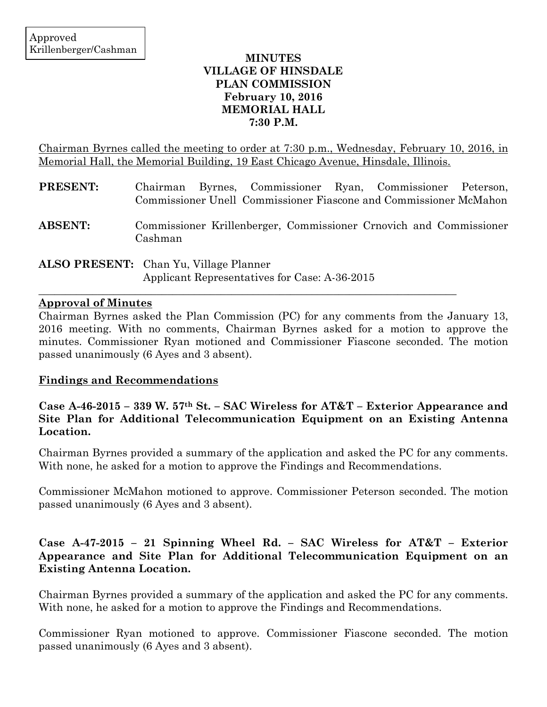### **MINUTES VILLAGE OF HINSDALE PLAN COMMISSION February 10, 2016 MEMORIAL HALL 7:30 P.M.**

Chairman Byrnes called the meeting to order at 7:30 p.m., Wednesday, February 10, 2016, in Memorial Hall, the Memorial Building, 19 East Chicago Avenue, Hinsdale, Illinois.

| <b>PRESENT:</b> | Chairman Byrnes, Commissioner Ryan, Commissioner Peterson,<br>Commissioner Unell Commissioner Fiascone and Commissioner McMahon |
|-----------------|---------------------------------------------------------------------------------------------------------------------------------|
| <b>ABSENT:</b>  | Commissioner Krillenberger, Commissioner Crnovich and Commissioner<br>Cashman                                                   |
|                 | <b>ALSO PRESENT:</b> Chan Yu, Village Planner                                                                                   |

Applicant Representatives for Case: A-36-2015

 $\mathcal{L}_\mathcal{L}$  , and the contribution of the contribution of the contribution of the contribution of the contribution of the contribution of the contribution of the contribution of the contribution of the contribution of

### **Approval of Minutes**

Chairman Byrnes asked the Plan Commission (PC) for any comments from the January 13, 2016 meeting. With no comments, Chairman Byrnes asked for a motion to approve the minutes. Commissioner Ryan motioned and Commissioner Fiascone seconded. The motion passed unanimously (6 Ayes and 3 absent).

## **Findings and Recommendations**

**Case A-46-2015 – 339 W. 57th St. – SAC Wireless for AT&T – Exterior Appearance and Site Plan for Additional Telecommunication Equipment on an Existing Antenna Location.**

Chairman Byrnes provided a summary of the application and asked the PC for any comments. With none, he asked for a motion to approve the Findings and Recommendations.

Commissioner McMahon motioned to approve. Commissioner Peterson seconded. The motion passed unanimously (6 Ayes and 3 absent).

## **Case A-47-2015 – 21 Spinning Wheel Rd. – SAC Wireless for AT&T – Exterior Appearance and Site Plan for Additional Telecommunication Equipment on an Existing Antenna Location.**

Chairman Byrnes provided a summary of the application and asked the PC for any comments. With none, he asked for a motion to approve the Findings and Recommendations.

Commissioner Ryan motioned to approve. Commissioner Fiascone seconded. The motion passed unanimously (6 Ayes and 3 absent).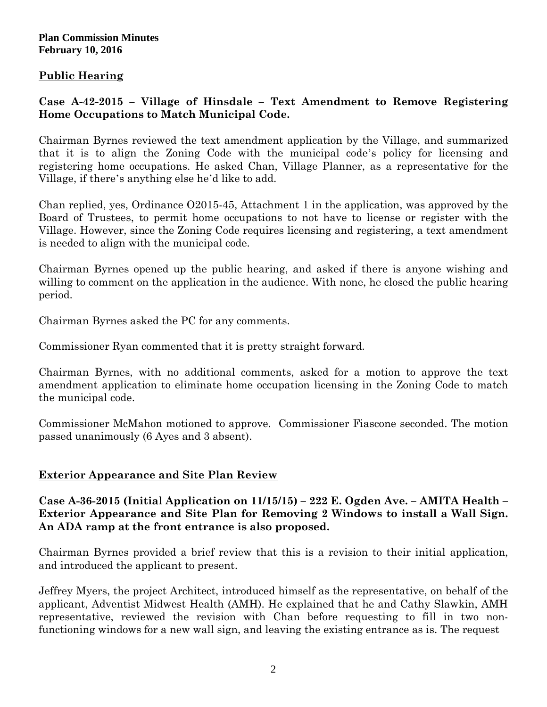### **Plan Commission Minutes February 10, 2016**

# **Public Hearing**

# **Case A-42-2015 – Village of Hinsdale – Text Amendment to Remove Registering Home Occupations to Match Municipal Code.**

Chairman Byrnes reviewed the text amendment application by the Village, and summarized that it is to align the Zoning Code with the municipal code's policy for licensing and registering home occupations. He asked Chan, Village Planner, as a representative for the Village, if there's anything else he'd like to add.

Chan replied, yes, Ordinance O2015-45, Attachment 1 in the application, was approved by the Board of Trustees, to permit home occupations to not have to license or register with the Village. However, since the Zoning Code requires licensing and registering, a text amendment is needed to align with the municipal code.

Chairman Byrnes opened up the public hearing, and asked if there is anyone wishing and willing to comment on the application in the audience. With none, he closed the public hearing period.

Chairman Byrnes asked the PC for any comments.

Commissioner Ryan commented that it is pretty straight forward.

Chairman Byrnes, with no additional comments, asked for a motion to approve the text amendment application to eliminate home occupation licensing in the Zoning Code to match the municipal code.

Commissioner McMahon motioned to approve. Commissioner Fiascone seconded. The motion passed unanimously (6 Ayes and 3 absent).

## **Exterior Appearance and Site Plan Review**

**Case A-36-2015 (Initial Application on 11/15/15) – 222 E. Ogden Ave. – AMITA Health – Exterior Appearance and Site Plan for Removing 2 Windows to install a Wall Sign. An ADA ramp at the front entrance is also proposed.**

Chairman Byrnes provided a brief review that this is a revision to their initial application, and introduced the applicant to present.

Jeffrey Myers, the project Architect, introduced himself as the representative, on behalf of the applicant, Adventist Midwest Health (AMH). He explained that he and Cathy Slawkin, AMH representative, reviewed the revision with Chan before requesting to fill in two nonfunctioning windows for a new wall sign, and leaving the existing entrance as is. The request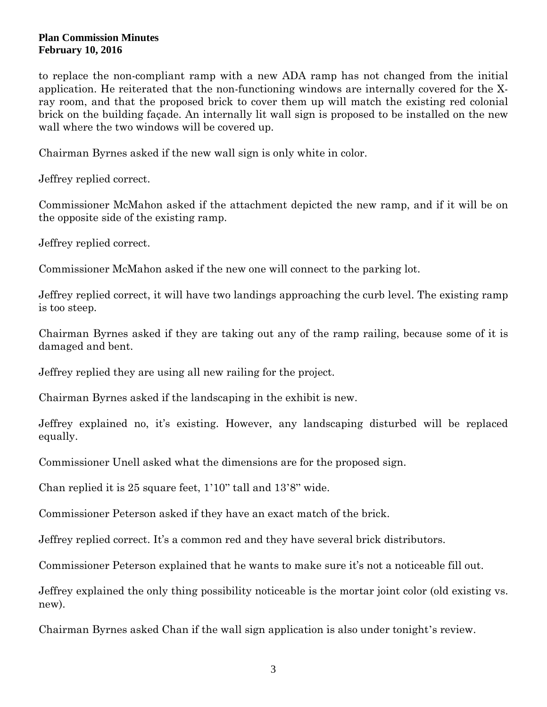#### **Plan Commission Minutes February 10, 2016**

to replace the non-compliant ramp with a new ADA ramp has not changed from the initial application. He reiterated that the non-functioning windows are internally covered for the Xray room, and that the proposed brick to cover them up will match the existing red colonial brick on the building façade. An internally lit wall sign is proposed to be installed on the new wall where the two windows will be covered up.

Chairman Byrnes asked if the new wall sign is only white in color.

Jeffrey replied correct.

Commissioner McMahon asked if the attachment depicted the new ramp, and if it will be on the opposite side of the existing ramp.

Jeffrey replied correct.

Commissioner McMahon asked if the new one will connect to the parking lot.

Jeffrey replied correct, it will have two landings approaching the curb level. The existing ramp is too steep.

Chairman Byrnes asked if they are taking out any of the ramp railing, because some of it is damaged and bent.

Jeffrey replied they are using all new railing for the project.

Chairman Byrnes asked if the landscaping in the exhibit is new.

Jeffrey explained no, it's existing. However, any landscaping disturbed will be replaced equally.

Commissioner Unell asked what the dimensions are for the proposed sign.

Chan replied it is 25 square feet, 1'10" tall and 13'8" wide.

Commissioner Peterson asked if they have an exact match of the brick.

Jeffrey replied correct. It's a common red and they have several brick distributors.

Commissioner Peterson explained that he wants to make sure it's not a noticeable fill out.

Jeffrey explained the only thing possibility noticeable is the mortar joint color (old existing vs. new).

Chairman Byrnes asked Chan if the wall sign application is also under tonight's review.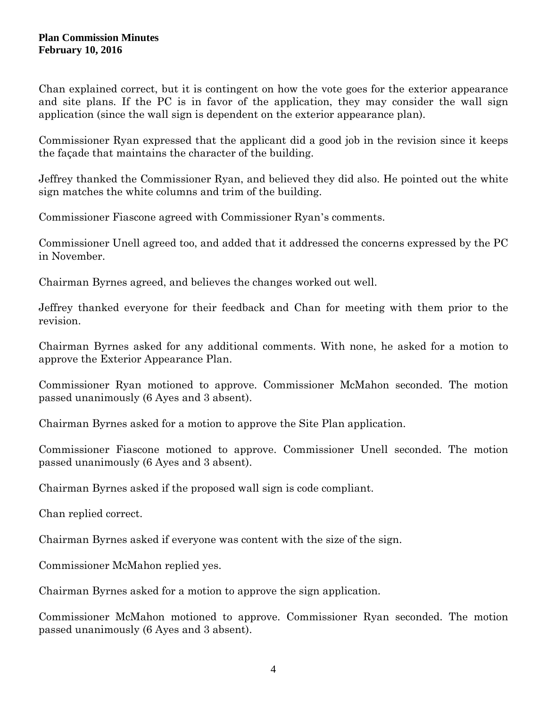Chan explained correct, but it is contingent on how the vote goes for the exterior appearance and site plans. If the PC is in favor of the application, they may consider the wall sign application (since the wall sign is dependent on the exterior appearance plan).

Commissioner Ryan expressed that the applicant did a good job in the revision since it keeps the façade that maintains the character of the building.

Jeffrey thanked the Commissioner Ryan, and believed they did also. He pointed out the white sign matches the white columns and trim of the building.

Commissioner Fiascone agreed with Commissioner Ryan's comments.

Commissioner Unell agreed too, and added that it addressed the concerns expressed by the PC in November.

Chairman Byrnes agreed, and believes the changes worked out well.

Jeffrey thanked everyone for their feedback and Chan for meeting with them prior to the revision.

Chairman Byrnes asked for any additional comments. With none, he asked for a motion to approve the Exterior Appearance Plan.

Commissioner Ryan motioned to approve. Commissioner McMahon seconded. The motion passed unanimously (6 Ayes and 3 absent).

Chairman Byrnes asked for a motion to approve the Site Plan application.

Commissioner Fiascone motioned to approve. Commissioner Unell seconded. The motion passed unanimously (6 Ayes and 3 absent).

Chairman Byrnes asked if the proposed wall sign is code compliant.

Chan replied correct.

Chairman Byrnes asked if everyone was content with the size of the sign.

Commissioner McMahon replied yes.

Chairman Byrnes asked for a motion to approve the sign application.

Commissioner McMahon motioned to approve. Commissioner Ryan seconded. The motion passed unanimously (6 Ayes and 3 absent).